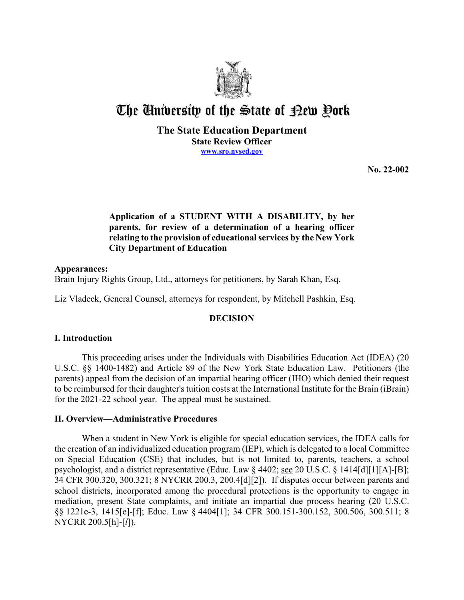

# The University of the State of Pew Pork

# **The State Education Department State Review Officer [www.sro.nysed.gov](http://www.sro.nysed.gov/)**

**No. 22-002** 

# **relating to the provision of educational services by the New York Application of a STUDENT WITH A DISABILITY, by her parents, for review of a determination of a hearing officer City Department of Education**

# **Appearances:**

Brain Injury Rights Group, Ltd., attorneys for petitioners, by Sarah Khan, Esq.

Liz Vladeck, General Counsel, attorneys for respondent, by Mitchell Pashkin, Esq.

# **DECISION**

# **I. Introduction**

This proceeding arises under the Individuals with Disabilities Education Act (IDEA) (20 U.S.C. §§ 1400-1482) and Article 89 of the New York State Education Law. Petitioners (the parents) appeal from the decision of an impartial hearing officer (IHO) which denied their request to be reimbursed for their daughter's tuition costs at the International Institute for the Brain (iBrain) for the 2021-22 school year. The appeal must be sustained.

# **II. Overview—Administrative Procedures**

 When a student in New York is eligible for special education services, the IDEA calls for the creation of an individualized education program (IEP), which is delegated to a local Committee on Special Education (CSE) that includes, but is not limited to, parents, teachers, a school psychologist, and a district representative (Educ. Law § 4402; see 20 U.S.C. § 1414[d][1][A]-[B]; 34 CFR 300.320, 300.321; 8 NYCRR 200.3, 200.4[d][2]). If disputes occur between parents and school districts, incorporated among the procedural protections is the opportunity to engage in mediation, present State complaints, and initiate an impartial due process hearing (20 U.S.C. §§ 1221e-3, 1415[e]-[f]; Educ. Law § 4404[1]; 34 CFR 300.151-300.152, 300.506, 300.511; 8 NYCRR 200.5[h]-[*l*]).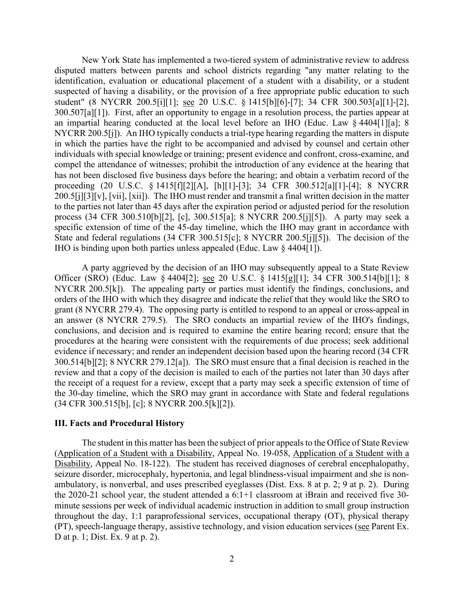disputed matters between parents and school districts regarding "any matter relating to the 300.507[a][1]). First, after an opportunity to engage in a resolution process, the parties appear at NYCRR 200.5[j]). An IHO typically conducts a trial-type hearing regarding the matters in dispute process (34 CFR 300.510[b][2], [c], 300.515[a]; 8 NYCRR 200.5[j][5]). A party may seek a IHO is binding upon both parties unless appealed (Educ. Law § 4404[1]). New York State has implemented a two-tiered system of administrative review to address identification, evaluation or educational placement of a student with a disability, or a student suspected of having a disability, or the provision of a free appropriate public education to such student" (8 NYCRR 200.5[i][1]; see 20 U.S.C. § 1415[b][6]-[7]; 34 CFR 300.503[a][1]-[2], an impartial hearing conducted at the local level before an IHO (Educ. Law § 4404[1][a]; 8 in which the parties have the right to be accompanied and advised by counsel and certain other individuals with special knowledge or training; present evidence and confront, cross-examine, and compel the attendance of witnesses; prohibit the introduction of any evidence at the hearing that has not been disclosed five business days before the hearing; and obtain a verbatim record of the proceeding (20 U.S.C. § 1415[f][2][A], [h][1]-[3]; 34 CFR 300.512[a][1]-[4]; 8 NYCRR 200.5[j][3][v], [vii], [xii]). The IHO must render and transmit a final written decision in the matter to the parties not later than 45 days after the expiration period or adjusted period for the resolution specific extension of time of the 45-day timeline, which the IHO may grant in accordance with State and federal regulations (34 CFR 300.515[c]; 8 NYCRR 200.5[j][5]). The decision of the

Officer (SRO) (Educ. Law § 4404[2]; <u>see</u> 20 U.S.C. § 1415[g][1]; 34 CFR 300.514[b][1]; 8 NYCRR 200.5[k]). The appealing party or parties must identify the findings, conclusions, and 300.514[b][2]; 8 NYCRR 279.12[a]). The SRO must ensure that a final decision is reached in the review and that a copy of the decision is mailed to each of the parties not later than 30 days after A party aggrieved by the decision of an IHO may subsequently appeal to a State Review orders of the IHO with which they disagree and indicate the relief that they would like the SRO to grant (8 NYCRR 279.4). The opposing party is entitled to respond to an appeal or cross-appeal in an answer (8 NYCRR 279.5). The SRO conducts an impartial review of the IHO's findings, conclusions, and decision and is required to examine the entire hearing record; ensure that the procedures at the hearing were consistent with the requirements of due process; seek additional evidence if necessary; and render an independent decision based upon the hearing record (34 CFR the receipt of a request for a review, except that a party may seek a specific extension of time of the 30-day timeline, which the SRO may grant in accordance with State and federal regulations (34 CFR 300.515[b], [c]; 8 NYCRR 200.5[k][2]).

## **III. Facts and Procedural History**

Disability, Appeal No. 18-122). The student has received diagnoses of cerebral encephalopathy, the 2020-21 school year, the student attended a 6:1+1 classroom at iBrain and received five 30- minute sessions per week of individual academic instruction in addition to small group instruction The student in this matter has been the subject of prior appeals to the Office of State Review (Application of a Student with a Disability, Appeal No. 19-058, Application of a Student with a seizure disorder, microcephaly, hypertonia, and legal blindness-visual impairment and she is nonambulatory, is nonverbal, and uses prescribed eyeglasses (Dist. Exs. 8 at p. 2; 9 at p. 2). During throughout the day, 1:1 paraprofessional services, occupational therapy (OT), physical therapy (PT), speech-language therapy, assistive technology, and vision education services (see Parent Ex. D at p. 1; Dist. Ex. 9 at p. 2).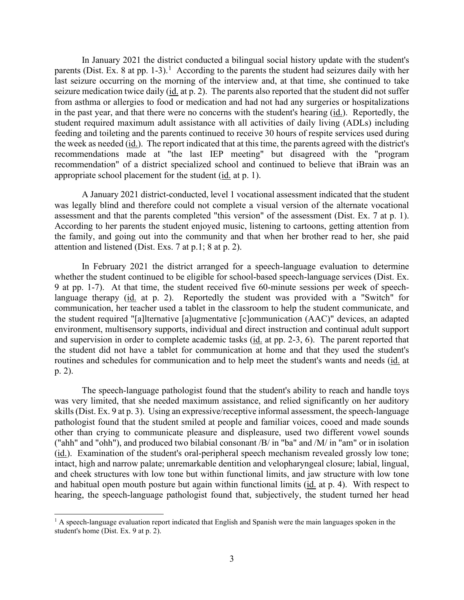In January 2021 the district conducted a bilingual social history update with the student's parents (Dist. Ex. 8 at pp. [1](#page-2-0)-3).<sup>1</sup> According to the parents the student had seizures daily with her last seizure occurring on the morning of the interview and, at that time, she continued to take seizure medication twice daily (id. at p. 2). The parents also reported that the student did not suffer from asthma or allergies to food or medication and had not had any surgeries or hospitalizations in the past year, and that there were no concerns with the student's hearing (*id.*). Reportedly, the student required maximum adult assistance with all activities of daily living (ADLs) including feeding and toileting and the parents continued to receive 30 hours of respite services used during the week as needed (*id.*). The report indicated that at this time, the parents agreed with the district's recommendations made at "the last IEP meeting" but disagreed with the "program recommendation" of a district specialized school and continued to believe that iBrain was an appropriate school placement for the student (*id.* at p. 1).

 assessment and that the parents completed "this version" of the assessment (Dist. Ex. 7 at p. 1). attention and listened (Dist. Exs. 7 at p.1; 8 at p. 2). A January 2021 district-conducted, level 1 vocational assessment indicated that the student was legally blind and therefore could not complete a visual version of the alternate vocational According to her parents the student enjoyed music, listening to cartoons, getting attention from the family, and going out into the community and that when her brother read to her, she paid

 9 at pp. 1-7). At that time, the student received five 60-minute sessions per week of speechand supervision in order to complete academic tasks (id. at pp. 2-3, 6). The parent reported that In February 2021 the district arranged for a speech-language evaluation to determine whether the student continued to be eligible for school-based speech-language services (Dist. Ex. language therapy (id. at p. 2). Reportedly the student was provided with a "Switch" for communication, her teacher used a tablet in the classroom to help the student communicate, and the student required "[a]lternative [a]ugmentative [c]ommunication (AAC)" devices, an adapted environment, multisensory supports, individual and direct instruction and continual adult support the student did not have a tablet for communication at home and that they used the student's routines and schedules for communication and to help meet the student's wants and needs (id. at p. 2).

 The speech-language pathologist found that the student's ability to reach and handle toys skills (Dist. Ex. 9 at p. 3). Using an expressive/receptive informal assessment, the speech-language ("ahh" and "ohh"), and produced two bilabial consonant /B/ in "ba" and /M/ in "am" or in isolation (id.). Examination of the student's oral-peripheral speech mechanism revealed grossly low tone; and habitual open mouth posture but again within functional limits (id. at p. 4). With respect to was very limited, that she needed maximum assistance, and relied significantly on her auditory pathologist found that the student smiled at people and familiar voices, cooed and made sounds other than crying to communicate pleasure and displeasure, used two different vowel sounds intact, high and narrow palate; unremarkable dentition and velopharyngeal closure; labial, lingual, and cheek structures with low tone but within functional limits, and jaw structure with low tone hearing, the speech-language pathologist found that, subjectively, the student turned her head

<span id="page-2-0"></span> $<sup>1</sup>$  A speech-language evaluation report indicated that English and Spanish were the main languages spoken in the</sup> student's home (Dist. Ex. 9 at p. 2).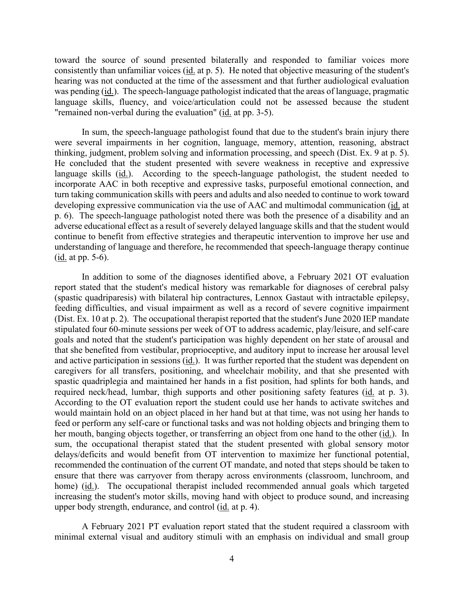toward the source of sound presented bilaterally and responded to familiar voices more was pending (id.). The speech-language pathologist indicated that the areas of language, pragmatic "remained non-verbal during the evaluation" (id. at pp. 3-5). consistently than unfamiliar voices (id. at p. 5). He noted that objective measuring of the student's hearing was not conducted at the time of the assessment and that further audiological evaluation language skills, fluency, and voice/articulation could not be assessed because the student

 In sum, the speech-language pathologist found that due to the student's brain injury there thinking, judgment, problem solving and information processing, and speech (Dist. Ex. 9 at p. 5). language skills (id.). According to the speech-language pathologist, the student needed to turn taking communication skills with peers and adults and also needed to continue to work toward p. 6). The speech-language pathologist noted there was both the presence of a disability and an  $(\underline{\text{id}}. \text{ at pp. } 5\text{-}6).$ were several impairments in her cognition, language, memory, attention, reasoning, abstract He concluded that the student presented with severe weakness in receptive and expressive incorporate AAC in both receptive and expressive tasks, purposeful emotional connection, and developing expressive communication via the use of AAC and multimodal communication (id. at adverse educational effect as a result of severely delayed language skills and that the student would continue to benefit from effective strategies and therapeutic intervention to improve her use and understanding of language and therefore, he recommended that speech-language therapy continue

 feeding difficulties, and visual impairment as well as a record of severe cognitive impairment (Dist. Ex. 10 at p. 2). The occupational therapist reported that the student's June 2020 IEP mandate goals and noted that the student's participation was highly dependent on her state of arousal and and active participation in sessions (*id.*). It was further reported that the student was dependent on required neck/head, lumbar, thigh supports and other positioning safety features (id. at p. 3). feed or perform any self-care or functional tasks and was not holding objects and bringing them to her mouth, banging objects together, or transferring an object from one hand to the other (id.). In sum, the occupational therapist stated that the student presented with global sensory motor ensure that there was carryover from therapy across environments (classroom, lunchroom, and home) (id.). The occupational therapist included recommended annual goals which targeted upper body strength, endurance, and control (*id.* at p. 4). In addition to some of the diagnoses identified above, a February 2021 OT evaluation report stated that the student's medical history was remarkable for diagnoses of cerebral palsy (spastic quadriparesis) with bilateral hip contractures, Lennox Gastaut with intractable epilepsy, stipulated four 60-minute sessions per week of OT to address academic, play/leisure, and self-care that she benefited from vestibular, proprioceptive, and auditory input to increase her arousal level caregivers for all transfers, positioning, and wheelchair mobility, and that she presented with spastic quadriplegia and maintained her hands in a fist position, had splints for both hands, and According to the OT evaluation report the student could use her hands to activate switches and would maintain hold on an object placed in her hand but at that time, was not using her hands to delays/deficits and would benefit from OT intervention to maximize her functional potential, recommended the continuation of the current OT mandate, and noted that steps should be taken to increasing the student's motor skills, moving hand with object to produce sound, and increasing

A February 2021 PT evaluation report stated that the student required a classroom with minimal external visual and auditory stimuli with an emphasis on individual and small group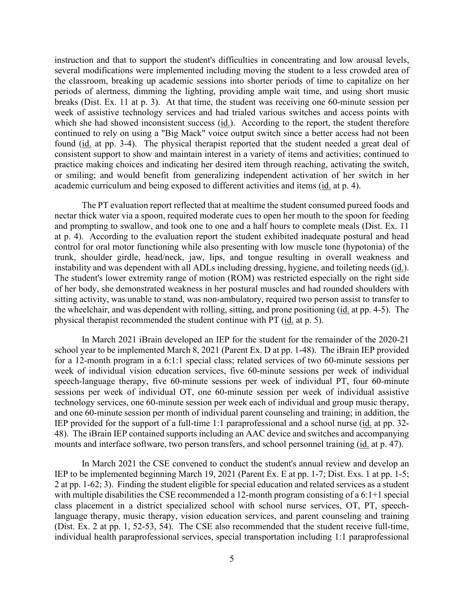breaks (Dist. Ex. 11 at p. 3). At that time, the student was receiving one 60-minute session per week of assistive technology services and had trialed various switches and access points with which she had showed inconsistent success  $(id)$ . According to the report, the student therefore continued to rely on using a "Big Mack" voice output switch since a better access had not been found (id. at pp. 3-4). The physical therapist reported that the student needed a great deal of academic curriculum and being exposed to different activities and items (id. at p. 4). instruction and that to support the student's difficulties in concentrating and low arousal levels, several modifications were implemented including moving the student to a less crowded area of the classroom, breaking up academic sessions into shorter periods of time to capitalize on her periods of alertness, dimming the lighting, providing ample wait time, and using short music consistent support to show and maintain interest in a variety of items and activities; continued to practice making choices and indicating her desired item through reaching, activating the switch, or smiling; and would benefit from generalizing independent activation of her switch in her

 at p. 4). According to the evaluation report the student exhibited inadequate postural and head instability and was dependent with all ADLs including dressing, hygiene, and toileting needs (*id.*). physical therapist recommended the student continue with PT (id. at p. 5). The PT evaluation report reflected that at mealtime the student consumed pureed foods and nectar thick water via a spoon, required moderate cues to open her mouth to the spoon for feeding and prompting to swallow, and took one to one and a half hours to complete meals (Dist. Ex. 11 control for oral motor functioning while also presenting with low muscle tone (hypotonia) of the trunk, shoulder girdle, head/neck, jaw, lips, and tongue resulting in overall weakness and The student's lower extremity range of motion (ROM) was restricted especially on the right side of her body, she demonstrated weakness in her postural muscles and had rounded shoulders with sitting activity, was unable to stand, was non-ambulatory, required two person assist to transfer to the wheelchair, and was dependent with rolling, sitting, and prone positioning (id. at pp. 4-5). The

 In March 2021 iBrain developed an IEP for the student for the remainder of the 2020-21 school year to be implemented March 8, 2021 (Parent Ex. D at pp. 1-48). The iBrain IEP provided and one 60-minute session per month of individual parent counseling and training; in addition, the 48). The iBrain IEP contained supports including an AAC device and switches and accompanying mounts and interface software, two person transfers, and school personnel training (*id.* at p. 47). for a 12-month program in a 6:1:1 special class; related services of two 60-minute sessions per week of individual vision education services, five 60-minute sessions per week of individual speech-language therapy, five 60-minute sessions per week of individual PT, four 60-minute sessions per week of individual OT, one 60-minute session per week of individual assistive technology services, one 60-minute session per week each of individual and group music therapy, IEP provided for the support of a full-time 1:1 paraprofessional and a school nurse (id. at pp. 32-

 IEP to be implemented beginning March 19, 2021 (Parent Ex. E at pp. 1-7; Dist. Exs. 1 at pp. 1-5; 2 at pp. 1-62; 3). Finding the student eligible for special education and related services as a student class placement in a district specialized school with school nurse services, OT, PT, speech-In March 2021 the CSE convened to conduct the student's annual review and develop an with multiple disabilities the CSE recommended a 12-month program consisting of a 6:1+1 special language therapy, music therapy, vision education services, and parent counseling and training (Dist. Ex. 2 at pp. 1, 52-53, 54). The CSE also recommended that the student receive full-time, individual health paraprofessional services, special transportation including 1:1 paraprofessional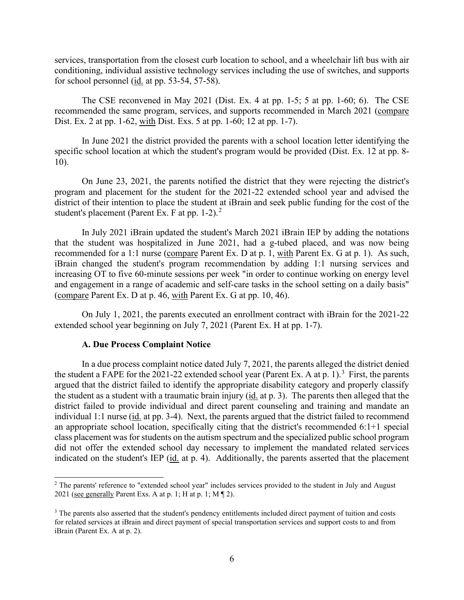services, transportation from the closest curb location to school, and a wheelchair lift bus with air conditioning, individual assistive technology services including the use of switches, and supports for school personnel  $(id.$  at pp. 53-54, 57-58).

 The CSE reconvened in May 2021 (Dist. Ex. 4 at pp. 1-5; 5 at pp. 1-60; 6). The CSE recommended the same program, services, and supports recommended in March 2021 (compare Dist. Ex. 2 at pp. 1-62, with Dist. Exs. 5 at pp. 1-60; 12 at pp. 1-7).

In June 2021 the district provided the parents with a school location letter identifying the specific school location at which the student's program would be provided (Dist. Ex. 12 at pp. 8- 10).

 program and placement for the student for the 2021-22 extended school year and advised the district of their intention to place the student at iBrain and seek public funding for the cost of the On June 23, 2021, the parents notified the district that they were rejecting the district's student's placement (Parent Ex. F at pp. 1-2). $^2$ 

recommended for a 1:1 nurse (compare Parent Ex. D at p. 1, with Parent Ex. G at p. 1). As such, iBrain changed the student's program recommendation by adding 1:1 nursing services and In July 2021 iBrain updated the student's March 2021 iBrain IEP by adding the notations that the student was hospitalized in June 2021, had a g-tubed placed, and was now being increasing OT to five 60-minute sessions per week "in order to continue working on energy level and engagement in a range of academic and self-care tasks in the school setting on a daily basis" (compare Parent Ex. D at p. 46, with Parent Ex. G at pp. 10, 46).

 extended school year beginning on July 7, 2021 (Parent Ex. H at pp. 1-7). On July 1, 2021, the parents executed an enrollment contract with iBrain for the 2021-22

#### **A. Due Process Complaint Notice**

the student a FAPE for the 2021-22 extended school year (Parent Ex. A at p. 1).<sup>3</sup> First, the parents the student as a student with a traumatic brain injury (*id.* at p. 3). The parents then alleged that the district failed to provide individual and direct parent counseling and training and mandate an individual 1:1 nurse (id. at pp. 3-4). Next, the parents argued that the district failed to recommend an appropriate school location, specifically citing that the district's recommended 6:1+1 special class placement was for students on the autism spectrum and the specialized public school program indicated on the student's IEP (id. at p. 4). Additionally, the parents asserted that the placement In a due process complaint notice dated July 7, 2021, the parents alleged the district denied argued that the district failed to identify the appropriate disability category and properly classify did not offer the extended school day necessary to implement the mandated related services

<span id="page-5-0"></span><sup>&</sup>lt;sup>2</sup> The parents' reference to "extended school year" includes services provided to the student in July and August 2021 (see generally Parent Exs. A at p. 1; H at p. 1; M  $\P$  2).

<span id="page-5-1"></span><sup>&</sup>lt;sup>3</sup> The parents also asserted that the student's pendency entitlements included direct payment of tuition and costs for related services at iBrain and direct payment of special transportation services and support costs to and from iBrain (Parent Ex. A at p. 2).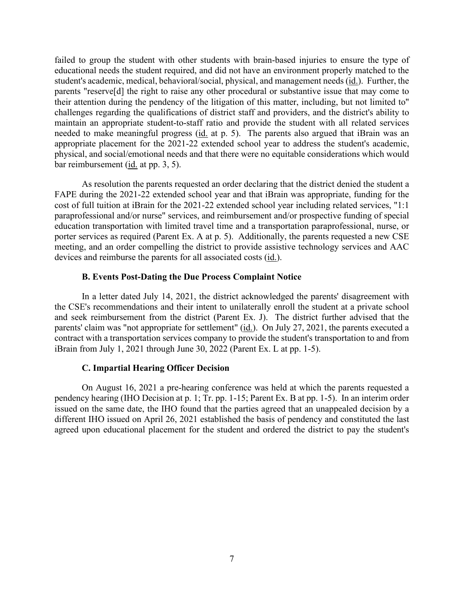student's academic, medical, behavioral/social, physical, and management needs (id.). Further, the challenges regarding the qualifications of district staff and providers, and the district's ability to needed to make meaningful progress (id. at p. 5). The parents also argued that iBrain was an bar reimbursement (*id.* at pp. 3, 5). failed to group the student with other students with brain-based injuries to ensure the type of educational needs the student required, and did not have an environment properly matched to the parents "reserve[d] the right to raise any other procedural or substantive issue that may come to their attention during the pendency of the litigation of this matter, including, but not limited to" maintain an appropriate student-to-staff ratio and provide the student with all related services appropriate placement for the 2021-22 extended school year to address the student's academic, physical, and social/emotional needs and that there were no equitable considerations which would

 As resolution the parents requested an order declaring that the district denied the student a paraprofessional and/or nurse" services, and reimbursement and/or prospective funding of special porter services as required (Parent Ex. A at p. 5). Additionally, the parents requested a new CSE meeting, and an order compelling the district to provide assistive technology services and AAC devices and reimburse the parents for all associated costs (id.). FAPE during the 2021-22 extended school year and that iBrain was appropriate, funding for the cost of full tuition at iBrain for the 2021-22 extended school year including related services, "1:1 education transportation with limited travel time and a transportation paraprofessional, nurse, or

## **B. Events Post-Dating the Due Process Complaint Notice**

 In a letter dated July 14, 2021, the district acknowledged the parents' disagreement with and seek reimbursement from the district (Parent Ex. J). The district further advised that the parents' claim was "not appropriate for settlement" (id.). On July 27, 2021, the parents executed a the CSE's recommendations and their intent to unilaterally enroll the student at a private school contract with a transportation services company to provide the student's transportation to and from iBrain from July 1, 2021 through June 30, 2022 (Parent Ex. L at pp. 1-5).

#### **C. Impartial Hearing Officer Decision**

On August 16, 2021 a pre-hearing conference was held at which the parents requested a pendency hearing (IHO Decision at p. 1; Tr. pp. 1-15; Parent Ex. B at pp. 1-5). In an interim order issued on the same date, the IHO found that the parties agreed that an unappealed decision by a different IHO issued on April 26, 2021 established the basis of pendency and constituted the last agreed upon educational placement for the student and ordered the district to pay the student's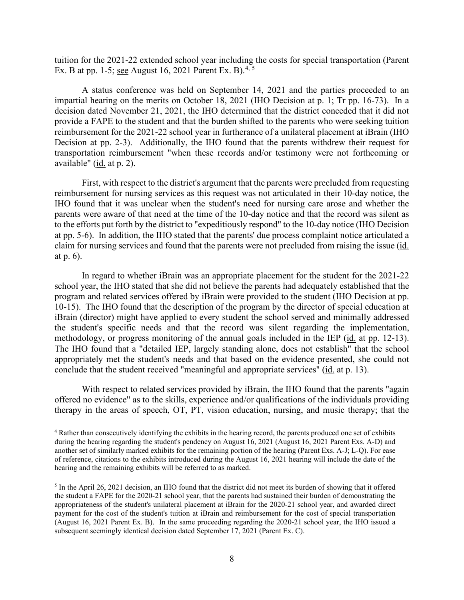tuition for the 2021-22 extended school year including the costs for special transportation (Parent Ex. B at pp. 1-5; see August 16, 2021 Parent Ex. B).<sup>[4,](#page-7-0) [5](#page-7-1)</sup>

 impartial hearing on the merits on October 18, 2021 (IHO Decision at p. 1; Tr pp. 16-73). In a decision dated November 21, 2021, the IHO determined that the district conceded that it did not provide a FAPE to the student and that the burden shifted to the parents who were seeking tuition Decision at pp. 2-3). Additionally, the IHO found that the parents withdrew their request for available" (<u>id.</u> at p. 2). A status conference was held on September 14, 2021 and the parties proceeded to an reimbursement for the 2021-22 school year in furtherance of a unilateral placement at iBrain (IHO transportation reimbursement "when these records and/or testimony were not forthcoming or

 IHO found that it was unclear when the student's need for nursing care arose and whether the claim for nursing services and found that the parents were not precluded from raising the issue (*id.* First, with respect to the district's argument that the parents were precluded from requesting reimbursement for nursing services as this request was not articulated in their 10-day notice, the parents were aware of that need at the time of the 10-day notice and that the record was silent as to the efforts put forth by the district to "expeditiously respond" to the 10-day notice (IHO Decision at pp. 5-6). In addition, the IHO stated that the parents' due process complaint notice articulated a at p. 6).

 In regard to whether iBrain was an appropriate placement for the student for the 2021-22 10-15). The IHO found that the description of the program by the director of special education at methodology, or progress monitoring of the annual goals included in the IEP (id. at pp. 12-13). conclude that the student received "meaningful and appropriate services" (id. at p. 13). school year, the IHO stated that she did not believe the parents had adequately established that the program and related services offered by iBrain were provided to the student (IHO Decision at pp. iBrain (director) might have applied to every student the school served and minimally addressed the student's specific needs and that the record was silent regarding the implementation, The IHO found that a "detailed IEP, largely standing alone, does not establish" that the school appropriately met the student's needs and that based on the evidence presented, she could not

 With respect to related services provided by iBrain, the IHO found that the parents "again offered no evidence" as to the skills, experience and/or qualifications of the individuals providing therapy in the areas of speech, OT, PT, vision education, nursing, and music therapy; that the

<span id="page-7-0"></span> of reference, citations to the exhibits introduced during the August 16, 2021 hearing will include the date of the 4 Rather than consecutively identifying the exhibits in the hearing record, the parents produced one set of exhibits during the hearing regarding the student's pendency on August 16, 2021 (August 16, 2021 Parent Exs. A-D) and another set of similarly marked exhibits for the remaining portion of the hearing (Parent Exs. A-J; L-Q). For ease hearing and the remaining exhibits will be referred to as marked.

<span id="page-7-1"></span> (August 16, 2021 Parent Ex. B). In the same proceeding regarding the 2020-21 school year, the IHO issued a <sup>5</sup> In the April 26, 2021 decision, an IHO found that the district did not meet its burden of showing that it offered the student a FAPE for the 2020-21 school year, that the parents had sustained their burden of demonstrating the appropriateness of the student's unilateral placement at iBrain for the 2020-21 school year, and awarded direct payment for the cost of the student's tuition at iBrain and reimbursement for the cost of special transportation subsequent seemingly identical decision dated September 17, 2021 (Parent Ex. C).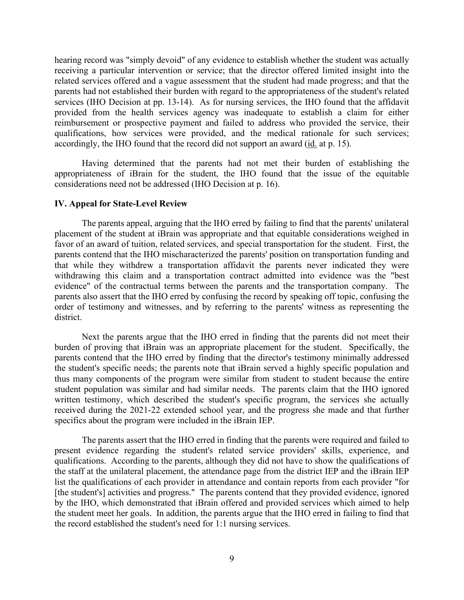parents had not established their burden with regard to the appropriateness of the student's related services (IHO Decision at pp. 13-14). As for nursing services, the IHO found that the affidavit accordingly, the IHO found that the record did not support an award (id. at p. 15). hearing record was "simply devoid" of any evidence to establish whether the student was actually receiving a particular intervention or service; that the director offered limited insight into the related services offered and a vague assessment that the student had made progress; and that the provided from the health services agency was inadequate to establish a claim for either reimbursement or prospective payment and failed to address who provided the service, their qualifications, how services were provided, and the medical rationale for such services;

Having determined that the parents had not met their burden of establishing the appropriateness of iBrain for the student, the IHO found that the issue of the equitable considerations need not be addressed (IHO Decision at p. 16).

#### **IV. Appeal for State-Level Review**

 favor of an award of tuition, related services, and special transportation for the student. First, the parents contend that the IHO mischaracterized the parents' position on transportation funding and evidence" of the contractual terms between the parents and the transportation company. The The parents appeal, arguing that the IHO erred by failing to find that the parents' unilateral placement of the student at iBrain was appropriate and that equitable considerations weighed in that while they withdrew a transportation affidavit the parents never indicated they were withdrawing this claim and a transportation contract admitted into evidence was the "best parents also assert that the IHO erred by confusing the record by speaking off topic, confusing the order of testimony and witnesses, and by referring to the parents' witness as representing the district.

 the student's specific needs; the parents note that iBrain served a highly specific population and Next the parents argue that the IHO erred in finding that the parents did not meet their burden of proving that iBrain was an appropriate placement for the student. Specifically, the parents contend that the IHO erred by finding that the director's testimony minimally addressed thus many components of the program were similar from student to student because the entire student population was similar and had similar needs. The parents claim that the IHO ignored written testimony, which described the student's specific program, the services she actually received during the 2021-22 extended school year, and the progress she made and that further specifics about the program were included in the iBrain IEP.

 The parents assert that the IHO erred in finding that the parents were required and failed to present evidence regarding the student's related service providers' skills, experience, and qualifications. According to the parents, although they did not have to show the qualifications of the staff at the unilateral placement, the attendance page from the district IEP and the iBrain IEP list the qualifications of each provider in attendance and contain reports from each provider "for [the student's] activities and progress." The parents contend that they provided evidence, ignored by the IHO, which demonstrated that iBrain offered and provided services which aimed to help the student meet her goals. In addition, the parents argue that the IHO erred in failing to find that the record established the student's need for 1:1 nursing services.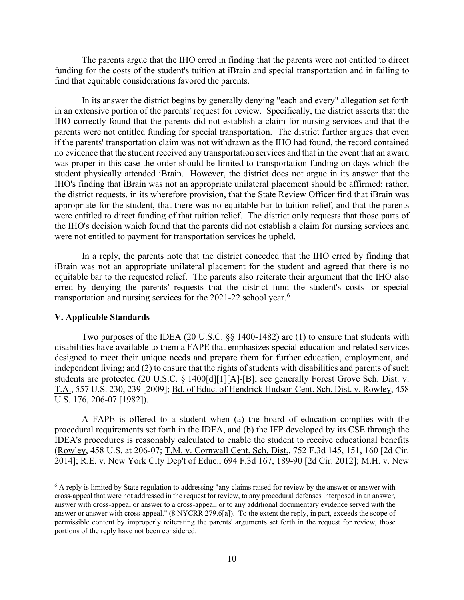The parents argue that the IHO erred in finding that the parents were not entitled to direct find that equitable considerations favored the parents. funding for the costs of the student's tuition at iBrain and special transportation and in failing to

 no evidence that the student received any transportation services and that in the event that an award student physically attended iBrain. However, the district does not argue in its answer that the the IHO's decision which found that the parents did not establish a claim for nursing services and were not entitled to payment for transportation services be upheld. In its answer the district begins by generally denying "each and every" allegation set forth in an extensive portion of the parents' request for review. Specifically, the district asserts that the IHO correctly found that the parents did not establish a claim for nursing services and that the parents were not entitled funding for special transportation. The district further argues that even if the parents' transportation claim was not withdrawn as the IHO had found, the record contained was proper in this case the order should be limited to transportation funding on days which the IHO's finding that iBrain was not an appropriate unilateral placement should be affirmed; rather, the district requests, in its wherefore provision, that the State Review Officer find that iBrain was appropriate for the student, that there was no equitable bar to tuition relief, and that the parents were entitled to direct funding of that tuition relief. The district only requests that those parts of

In a reply, the parents note that the district conceded that the IHO erred by finding that iBrain was not an appropriate unilateral placement for the student and agreed that there is no equitable bar to the requested relief. The parents also reiterate their argument that the IHO also erred by denying the parents' requests that the district fund the student's costs for special transportation and nursing services for the 2021-22 school year.<sup>6</sup>

## **V. Applicable Standards**

Two purposes of the IDEA (20 U.S.C. §§ 1400-1482) are (1) to ensure that students with disabilities have available to them a FAPE that emphasizes special education and related services designed to meet their unique needs and prepare them for further education, employment, and independent living; and (2) to ensure that the rights of students with disabilities and parents of such students are protected (20 U.S.C. § 1400[d][1][A]-[B]; see generally Forest Grove Sch. Dist. v. T.A., 557 U.S. 230, 239 [2009]; Bd. of Educ. of Hendrick Hudson Cent. Sch. Dist. v. Rowley, 458 U.S. 176, 206-07 [1982]).

 A FAPE is offered to a student when (a) the board of education complies with the 2014]; <u>R.E. v. New York City Dep't of Educ.</u>, 694 F.3d 167, 189-90 [2d Cir. 2012]; <u>M.H. v. New</u> procedural requirements set forth in the IDEA, and (b) the IEP developed by its CSE through the IDEA's procedures is reasonably calculated to enable the student to receive educational benefits (Rowley, 458 U.S. at 206-07; T.M. v. Cornwall Cent. Sch. Dist., 752 F.3d 145, 151, 160 [2d Cir.

<span id="page-9-0"></span> answer or answer with cross-appeal." (8 NYCRR 279.6[a]). To the extent the reply, in part, exceeds the scope of <sup>6</sup> A reply is limited by State regulation to addressing "any claims raised for review by the answer or answer with cross-appeal that were not addressed in the request for review, to any procedural defenses interposed in an answer, answer with cross-appeal or answer to a cross-appeal, or to any additional documentary evidence served with the permissible content by improperly reiterating the parents' arguments set forth in the request for review, those portions of the reply have not been considered.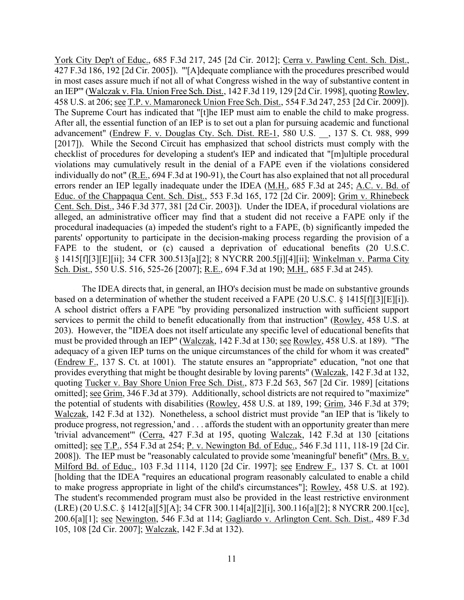458 U.S. at 206; <u>see T.P. v. Mamaroneck Union Free Sch. Dist.</u>, 554 F.3d 247, 253 [2d Cir. 2009]). The Supreme Court has indicated that "[t]he IEP must aim to enable the child to make progress. errors render an IEP legally inadequate under the IDEA (M.H., 685 F.3d at 245; A.C. v. Bd. of parents' opportunity to participate in the decision-making process regarding the provision of a York City Dep't of Educ., 685 F.3d 217, 245 [2d Cir. 2012]; Cerra v. Pawling Cent. Sch. Dist., 427 F.3d 186, 192 [2d Cir. 2005]). "'[A]dequate compliance with the procedures prescribed would in most cases assure much if not all of what Congress wished in the way of substantive content in an IEP'" (Walczak v. Fla. Union Free Sch. Dist., 142 F.3d 119, 129 [2d Cir. 1998], quoting Rowley, After all, the essential function of an IEP is to set out a plan for pursuing academic and functional advancement" (Endrew F. v. Douglas Cty. Sch. Dist. RE-1, 580 U.S. \_\_, 137 S. Ct. 988, 999 [2017]). While the Second Circuit has emphasized that school districts must comply with the checklist of procedures for developing a student's IEP and indicated that "[m]ultiple procedural violations may cumulatively result in the denial of a FAPE even if the violations considered individually do not" (R.E., 694 F.3d at 190-91), the Court has also explained that not all procedural Educ. of the Chappaqua Cent. Sch. Dist., 553 F.3d 165, 172 [2d Cir. 2009]; Grim v. Rhinebeck Cent. Sch. Dist., 346 F.3d 377, 381 [2d Cir. 2003]). Under the IDEA, if procedural violations are alleged, an administrative officer may find that a student did not receive a FAPE only if the procedural inadequacies (a) impeded the student's right to a FAPE, (b) significantly impeded the FAPE to the student, or (c) caused a deprivation of educational benefits (20 U.S.C. § 1415[f][3][E][ii]; 34 CFR 300.513[a][2]; 8 NYCRR 200.5[j][4][ii]; Winkelman v. Parma City Sch. Dist., 550 U.S. 516, 525-26 [2007]; R.E., 694 F.3d at 190; M.H., 685 F.3d at 245).

based on a determination of whether the student received a FAPE (20 U.S.C. § 1415 $[f][3][E][i]$ ). adequacy of a given IEP turns on the unique circumstances of the child for whom it was created" produce progress, not regression,' and . . . affords the student with an opportunity greater than mere 200.6[a][1]; <u>see Newington,</u> 546 F.3d at 114; Gagliardo v. Arlington Cent. Sch. Dist., 489 F.3d The IDEA directs that, in general, an IHO's decision must be made on substantive grounds A school district offers a FAPE "by providing personalized instruction with sufficient support services to permit the child to benefit educationally from that instruction" (Rowley, 458 U.S. at 203). However, the "IDEA does not itself articulate any specific level of educational benefits that must be provided through an IEP" (Walczak, 142 F.3d at 130; see Rowley, 458 U.S. at 189). "The (Endrew F., 137 S. Ct. at 1001). The statute ensures an "appropriate" education, "not one that provides everything that might be thought desirable by loving parents" (Walczak, 142 F.3d at 132, quoting Tucker v. Bay Shore Union Free Sch. Dist., 873 F.2d 563, 567 [2d Cir. 1989] [citations omitted]; see Grim, 346 F.3d at 379). Additionally, school districts are not required to "maximize" the potential of students with disabilities (Rowley, 458 U.S. at 189, 199; Grim, 346 F.3d at 379; Walczak, 142 F.3d at 132). Nonetheless, a school district must provide "an IEP that is 'likely to 'trivial advancement'" (Cerra, 427 F.3d at 195, quoting Walczak, 142 F.3d at 130 [citations omitted]; see T.P., 554 F.3d at 254; P. v. Newington Bd. of Educ., 546 F.3d 111, 118-19 [2d Cir. 2008]). The IEP must be "reasonably calculated to provide some 'meaningful' benefit" (Mrs. B. v. Milford Bd. of Educ., 103 F.3d 1114, 1120 [2d Cir. 1997]; see Endrew F., 137 S. Ct. at 1001 [holding that the IDEA "requires an educational program reasonably calculated to enable a child to make progress appropriate in light of the child's circumstances"]; Rowley, 458 U.S. at 192). The student's recommended program must also be provided in the least restrictive environment (LRE) (20 U.S.C. § 1412[a][5][A]; 34 CFR 300.114[a][2][i], 300.116[a][2]; 8 NYCRR 200.1[cc], 105, 108 [2d Cir. 2007]; Walczak, 142 F.3d at 132).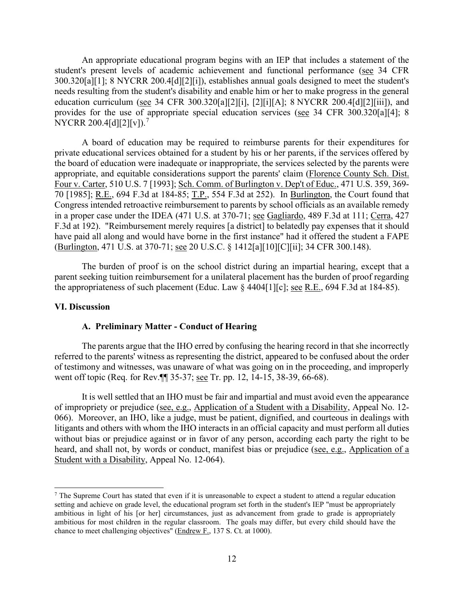An appropriate educational program begins with an IEP that includes a statement of the student's present levels of academic achievement and functional performance (see 34 CFR 300.320[a][1]; 8 NYCRR 200.4[d][2][i]), establishes annual goals designed to meet the student's needs resulting from the student's disability and enable him or her to make progress in the general education curriculum (see 34 CFR 300.320[a][2][i], [2][i][A]; 8 NYCRR 200.4[d][2][iii]), and provides for the use of appropriate special education services (see 34 CFR 300.320[a][4]; 8 NYCRR 200.4[d][2][v]).<sup>7</sup>

70 [1985]; R.E., 694 F.3d at 184-85; T.P., 554 F.3d at 252). In Burlington, the Court found that in a proper case under the IDEA (471 U.S. at 370-71; see Gagliardo, 489 F.3d at 111; Cerra, 427 (Burlington, 471 U.S. at 370-71; <u>see</u> 20 U.S.C. § 1412[a][10][C][ii]; 34 CFR 300.148). A board of education may be required to reimburse parents for their expenditures for private educational services obtained for a student by his or her parents, if the services offered by the board of education were inadequate or inappropriate, the services selected by the parents were appropriate, and equitable considerations support the parents' claim (Florence County Sch. Dist. Four v. Carter, 510 U.S. 7 [1993]; Sch. Comm. of Burlington v. Dep't of Educ., 471 U.S. 359, 369- Congress intended retroactive reimbursement to parents by school officials as an available remedy F.3d at 192). "Reimbursement merely requires [a district] to belatedly pay expenses that it should have paid all along and would have borne in the first instance" had it offered the student a FAPE

the appropriateness of such placement (Educ. Law  $\S$  4404[1][c]; <u>see R.E.</u>, 694 F.3d at 184-85). The burden of proof is on the school district during an impartial hearing, except that a parent seeking tuition reimbursement for a unilateral placement has the burden of proof regarding

#### **VI. Discussion**

#### **A. Preliminary Matter - Conduct of Hearing**

 The parents argue that the IHO erred by confusing the hearing record in that she incorrectly referred to the parents' witness as representing the district, appeared to be confused about the order of testimony and witnesses, was unaware of what was going on in the proceeding, and improperly went off topic (Req. for Rev.¶¶ 35-37; see Tr. pp. 12, 14-15, 38-39, 66-68).

 It is well settled that an IHO must be fair and impartial and must avoid even the appearance heard, and shall not, by words or conduct, manifest bias or prejudice (see, e.g., Application of a of impropriety or prejudice (see, e.g., Application of a Student with a Disability, Appeal No. 12- 066). Moreover, an IHO, like a judge, must be patient, dignified, and courteous in dealings with litigants and others with whom the IHO interacts in an official capacity and must perform all duties without bias or prejudice against or in favor of any person, according each party the right to be Student with a Disability, Appeal No. 12-064).

<span id="page-11-0"></span> ambitious in light of his [or her] circumstances, just as advancement from grade to grade is appropriately  $<sup>7</sup>$  The Supreme Court has stated that even if it is unreasonable to expect a student to attend a regular education</sup> setting and achieve on grade level, the educational program set forth in the student's IEP "must be appropriately ambitious for most children in the regular classroom. The goals may differ, but every child should have the chance to meet challenging objectives" (Endrew F., 137 S. Ct. at 1000).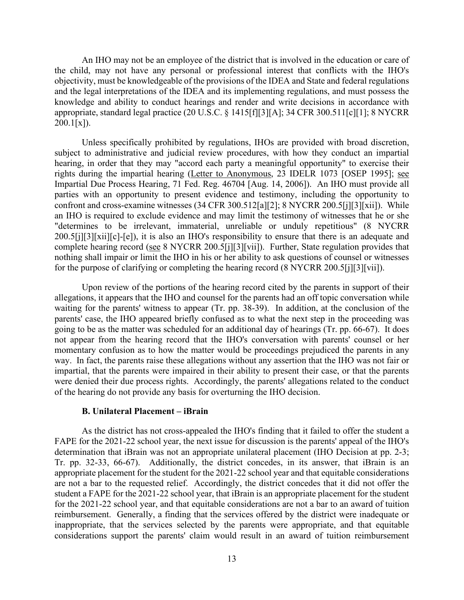and the legal interpretations of the IDEA and its implementing regulations, and must possess the An IHO may not be an employee of the district that is involved in the education or care of the child, may not have any personal or professional interest that conflicts with the IHO's objectivity, must be knowledgeable of the provisions of the IDEA and State and federal regulations knowledge and ability to conduct hearings and render and write decisions in accordance with appropriate, standard legal practice (20 U.S.C. § 1415[f][3][A]; 34 CFR 300.511[c][1]; 8 NYCRR  $200.1[x]$ .

Unless specifically prohibited by regulations, IHOs are provided with broad discretion, subject to administrative and judicial review procedures, with how they conduct an impartial hearing, in order that they may "accord each party a meaningful opportunity" to exercise their rights during the impartial hearing (Letter to Anonymous, 23 IDELR 1073 [OSEP 1995]; see Impartial Due Process Hearing, 71 Fed. Reg. 46704 [Aug. 14, 2006]). An IHO must provide all parties with an opportunity to present evidence and testimony, including the opportunity to confront and cross-examine witnesses (34 CFR 300.512[a][2]; 8 NYCRR 200.5[j][3][xii]). While an IHO is required to exclude evidence and may limit the testimony of witnesses that he or she "determines to be irrelevant, immaterial, unreliable or unduly repetitious" (8 NYCRR 200.5[j][3][xii][c]-[e]), it is also an IHO's responsibility to ensure that there is an adequate and complete hearing record (see 8 NYCRR 200.5[j][3][vii]). Further, State regulation provides that nothing shall impair or limit the IHO in his or her ability to ask questions of counsel or witnesses for the purpose of clarifying or completing the hearing record (8 NYCRR 200.5[j][3][vii]).

 parents' case, the IHO appeared briefly confused as to what the next step in the proceeding was going to be as the matter was scheduled for an additional day of hearings (Tr. pp. 66-67). It does not appear from the hearing record that the IHO's conversation with parents' counsel or her way. In fact, the parents raise these allegations without any assertion that the IHO was not fair or Upon review of the portions of the hearing record cited by the parents in support of their allegations, it appears that the IHO and counsel for the parents had an off topic conversation while waiting for the parents' witness to appear (Tr. pp. 38-39). In addition, at the conclusion of the momentary confusion as to how the matter would be proceedings prejudiced the parents in any impartial, that the parents were impaired in their ability to present their case, or that the parents were denied their due process rights. Accordingly, the parents' allegations related to the conduct of the hearing do not provide any basis for overturning the IHO decision.

#### **B. Unilateral Placement – iBrain**

 Tr. pp. 32-33, 66-67). Additionally, the district concedes, in its answer, that iBrain is an are not a bar to the requested relief. Accordingly, the district concedes that it did not offer the As the district has not cross-appealed the IHO's finding that it failed to offer the student a FAPE for the 2021-22 school year, the next issue for discussion is the parents' appeal of the IHO's determination that iBrain was not an appropriate unilateral placement (IHO Decision at pp. 2-3; appropriate placement for the student for the 2021-22 school year and that equitable considerations student a FAPE for the 2021-22 school year, that iBrain is an appropriate placement for the student for the 2021-22 school year, and that equitable considerations are not a bar to an award of tuition reimbursement. Generally, a finding that the services offered by the district were inadequate or inappropriate, that the services selected by the parents were appropriate, and that equitable considerations support the parents' claim would result in an award of tuition reimbursement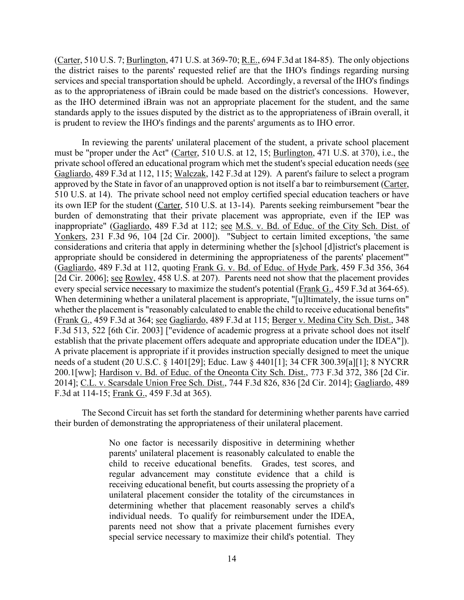(Carter, 510 U.S. 7; Burlington, 471 U.S. at 369-70; R.E., 694 F.3d at 184-85). The only objections the district raises to the parents' requested relief are that the IHO's findings regarding nursing standards apply to the issues disputed by the district as to the appropriateness of iBrain overall, it services and special transportation should be upheld. Accordingly, a reversal of the IHO's findings as to the appropriateness of iBrain could be made based on the district's concessions. However, as the IHO determined iBrain was not an appropriate placement for the student, and the same is prudent to review the IHO's findings and the parents' arguments as to IHO error.

 In reviewing the parents' unilateral placement of the student, a private school placement Gagliardo, 489 F.3d at 112, 115; Walczak, 142 F.3d at 129). A parent's failure to select a program [2d Cir. 2006]; <u>see Rowley</u>, 458 U.S. at 207). Parents need not show that the placement provides every special service necessary to maximize the student's potential (Frank G., 459 F.3d at 364-65). establish that the private placement offers adequate and appropriate education under the IDEA"]). must be "proper under the Act" (Carter, 510 U.S. at 12, 15; Burlington, 471 U.S. at 370), i.e., the private school offered an educational program which met the student's special education needs (see approved by the State in favor of an unapproved option is not itself a bar to reimbursement (Carter, 510 U.S. at 14). The private school need not employ certified special education teachers or have its own IEP for the student (Carter, 510 U.S. at 13-14). Parents seeking reimbursement "bear the burden of demonstrating that their private placement was appropriate, even if the IEP was inappropriate" (Gagliardo, 489 F.3d at 112; see M.S. v. Bd. of Educ. of the City Sch. Dist. of Yonkers, 231 F.3d 96, 104 [2d Cir. 2000]). "Subject to certain limited exceptions, 'the same considerations and criteria that apply in determining whether the [s]chool [d]istrict's placement is appropriate should be considered in determining the appropriateness of the parents' placement'" (Gagliardo, 489 F.3d at 112, quoting Frank G. v. Bd. of Educ. of Hyde Park, 459 F.3d 356, 364 When determining whether a unilateral placement is appropriate, "[u]ltimately, the issue turns on" whether the placement is "reasonably calculated to enable the child to receive educational benefits" (Frank G., 459 F.3d at 364; see Gagliardo, 489 F.3d at 115; Berger v. Medina City Sch. Dist., 348 F.3d 513, 522 [6th Cir. 2003] ["evidence of academic progress at a private school does not itself A private placement is appropriate if it provides instruction specially designed to meet the unique needs of a student (20 U.S.C. § 1401[29]; Educ. Law § 4401[1]; 34 CFR 300.39[a][1]; 8 NYCRR 200.1[ww]; Hardison v. Bd. of Educ. of the Oneonta City Sch. Dist., 773 F.3d 372, 386 [2d Cir. 2014]; C.L. v. Scarsdale Union Free Sch. Dist., 744 F.3d 826, 836 [2d Cir. 2014]; Gagliardo, 489 F.3d at 114-15; Frank G., 459 F.3d at 365).

The Second Circuit has set forth the standard for determining whether parents have carried their burden of demonstrating the appropriateness of their unilateral placement.

> No one factor is necessarily dispositive in determining whether parents' unilateral placement is reasonably calculated to enable the child to receive educational benefits. Grades, test scores, and regular advancement may constitute evidence that a child is receiving educational benefit, but courts assessing the propriety of a unilateral placement consider the totality of the circumstances in determining whether that placement reasonably serves a child's individual needs. To qualify for reimbursement under the IDEA, parents need not show that a private placement furnishes every special service necessary to maximize their child's potential. They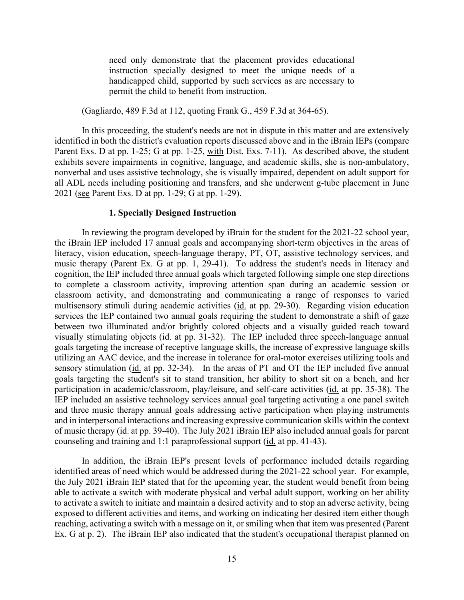need only demonstrate that the placement provides educational instruction specially designed to meet the unique needs of a handicapped child, supported by such services as are necessary to permit the child to benefit from instruction.

(Gagliardo, 489 F.3d at 112, quoting Frank G., 459 F.3d at 364-65).

In this proceeding, the student's needs are not in dispute in this matter and are extensively identified in both the district's evaluation reports discussed above and in the iBrain IEPs (compare Parent Exs. D at pp. 1-25; G at pp. 1-25, with Dist. Exs. 7-11). As described above, the student exhibits severe impairments in cognitive, language, and academic skills, she is non-ambulatory, nonverbal and uses assistive technology, she is visually impaired, dependent on adult support for all ADL needs including positioning and transfers, and she underwent g-tube placement in June 2021 (see Parent Exs. D at pp. 1-29; G at pp. 1-29).

#### **1. Specially Designed Instruction**

 the iBrain IEP included 17 annual goals and accompanying short-term objectives in the areas of multisensory stimuli during academic activities (id. at pp. 29-30). Regarding vision education sensory stimulation (id. at pp. 32-34). In the areas of PT and OT the IEP included five annual In reviewing the program developed by iBrain for the student for the 2021-22 school year, literacy, vision education, speech-language therapy, PT, OT, assistive technology services, and music therapy (Parent Ex. G at pp. 1, 29-41). To address the student's needs in literacy and cognition, the IEP included three annual goals which targeted following simple one step directions to complete a classroom activity, improving attention span during an academic session or classroom activity, and demonstrating and communicating a range of responses to varied services the IEP contained two annual goals requiring the student to demonstrate a shift of gaze between two illuminated and/or brightly colored objects and a visually guided reach toward visually stimulating objects (id. at pp. 31-32). The IEP included three speech-language annual goals targeting the increase of receptive language skills, the increase of expressive language skills utilizing an AAC device, and the increase in tolerance for oral-motor exercises utilizing tools and goals targeting the student's sit to stand transition, her ability to short sit on a bench, and her participation in academic/classroom, play/leisure, and self-care activities (id. at pp. 35-38). The IEP included an assistive technology services annual goal targeting activating a one panel switch and three music therapy annual goals addressing active participation when playing instruments and in interpersonal interactions and increasing expressive communication skills within the context of music therapy (id. at pp. 39-40). The July 2021 iBrain IEP also included annual goals for parent counseling and training and 1:1 paraprofessional support (id. at pp. 41-43).

 able to activate a switch with moderate physical and verbal adult support, working on her ability exposed to different activities and items, and working on indicating her desired item either though Ex. G at p. 2). The iBrain IEP also indicated that the student's occupational therapist planned on In addition, the iBrain IEP's present levels of performance included details regarding identified areas of need which would be addressed during the 2021-22 school year. For example, the July 2021 iBrain IEP stated that for the upcoming year, the student would benefit from being to activate a switch to initiate and maintain a desired activity and to stop an adverse activity, being reaching, activating a switch with a message on it, or smiling when that item was presented (Parent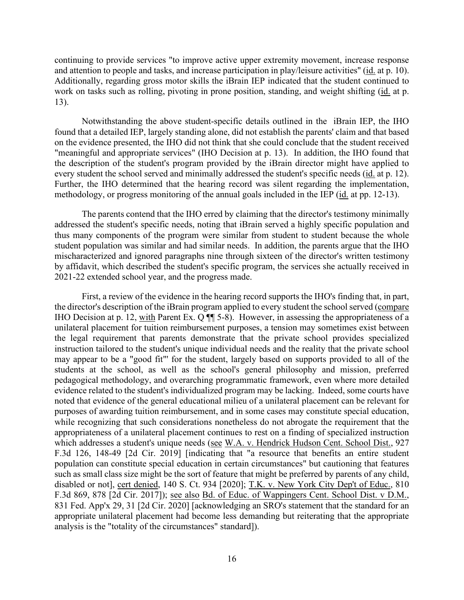continuing to provide services "to improve active upper extremity movement, increase response and attention to people and tasks, and increase participation in play/leisure activities" (id. at p. 10). Additionally, regarding gross motor skills the iBrain IEP indicated that the student continued to work on tasks such as rolling, pivoting in prone position, standing, and weight shifting (id. at p. 13).

 Notwithstanding the above student-specific details outlined in the iBrain IEP, the IHO found that a detailed IEP, largely standing alone, did not establish the parents' claim and that based "meaningful and appropriate services" (IHO Decision at p. 13). In addition, the IHO found that every student the school served and minimally addressed the student's specific needs (id. at p. 12). Further, the IHO determined that the hearing record was silent regarding the implementation, methodology, or progress monitoring of the annual goals included in the IEP (id. at pp. 12-13). on the evidence presented, the IHO did not think that she could conclude that the student received the description of the student's program provided by the iBrain director might have applied to

 The parents contend that the IHO erred by claiming that the director's testimony minimally addressed the student's specific needs, noting that iBrain served a highly specific population and thus many components of the program were similar from student to student because the whole student population was similar and had similar needs. In addition, the parents argue that the IHO mischaracterized and ignored paragraphs nine through sixteen of the director's written testimony by affidavit, which described the student's specific program, the services she actually received in 2021-22 extended school year, and the progress made.

 First, a review of the evidence in the hearing record supports the IHO's finding that, in part, the director's description of the iBrain program applied to every student the school served (compare IHO Decision at p. 12, with Parent Ex. Q  $\P$  5-8). However, in assessing the appropriateness of a may appear to be a "good fit"' for the student, largely based on supports provided to all of the unilateral placement for tuition reimbursement purposes, a tension may sometimes exist between the legal requirement that parents demonstrate that the private school provides specialized instruction tailored to the student's unique individual needs and the reality that the private school students at the school, as well as the school's general philosophy and mission, preferred pedagogical methodology, and overarching programmatic framework, even where more detailed evidence related to the student's individualized program may be lacking. Indeed, some courts have noted that evidence of the general educational milieu of a unilateral placement can be relevant for purposes of awarding tuition reimbursement, and in some cases may constitute special education, while recognizing that such considerations nonetheless do not abrogate the requirement that the appropriateness of a unilateral placement continues to rest on a finding of specialized instruction which addresses a student's unique needs (see W.A. v. Hendrick Hudson Cent. School Dist., 927 F.3d 126, 148-49 [2d Cir. 2019] [indicating that "a resource that benefits an entire student population can constitute special education in certain circumstances" but cautioning that features such as small class size might be the sort of feature that might be preferred by parents of any child, disabled or not], cert denied, 140 S. Ct. 934 [2020]; T.K. v. New York City Dep't of Educ., 810 F.3d 869, 878 [2d Cir. 2017]); see also Bd. of Educ. of Wappingers Cent. School Dist. v D.M., 831 Fed. App'x 29, 31 [2d Cir. 2020] [acknowledging an SRO's statement that the standard for an appropriate unilateral placement had become less demanding but reiterating that the appropriate analysis is the "totality of the circumstances" standard]).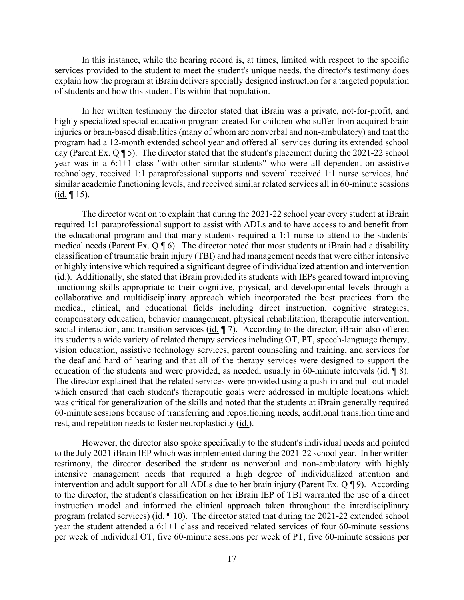explain how the program at iBrain delivers specially designed instruction for a targeted population of students and how this student fits within that population. In this instance, while the hearing record is, at times, limited with respect to the specific services provided to the student to meet the student's unique needs, the director's testimony does

 day (Parent Ex. Q ¶ 5). The director stated that the student's placement during the 2021-22 school year was in a 6:1+1 class "with other similar students" who were all dependent on assistive technology, received 1:1 paraprofessional supports and several received 1:1 nurse services, had similar academic functioning levels, and received similar related services all in 60-minute sessions  $(\underline{\text{id}}. \P 15).$ In her written testimony the director stated that iBrain was a private, not-for-profit, and highly specialized special education program created for children who suffer from acquired brain injuries or brain-based disabilities (many of whom are nonverbal and non-ambulatory) and that the program had a 12-month extended school year and offered all services during its extended school

 required 1:1 paraprofessional support to assist with ADLs and to have access to and benefit from the educational program and that many students required a 1:1 nurse to attend to the students' medical needs (Parent Ex.  $Q \parallel 6$ ). The director noted that most students at iBrain had a disability social interaction, and transition services  $(i_d, \P 7)$ . According to the director, iBrain also offered education of the students and were provided, as needed, usually in 60-minute intervals (id. 18). The director went on to explain that during the 2021-22 school year every student at iBrain classification of traumatic brain injury (TBI) and had management needs that were either intensive or highly intensive which required a significant degree of individualized attention and intervention (id.). Additionally, she stated that iBrain provided its students with IEPs geared toward improving functioning skills appropriate to their cognitive, physical, and developmental levels through a collaborative and multidisciplinary approach which incorporated the best practices from the medical, clinical, and educational fields including direct instruction, cognitive strategies, compensatory education, behavior management, physical rehabilitation, therapeutic intervention, its students a wide variety of related therapy services including OT, PT, speech-language therapy, vision education, assistive technology services, parent counseling and training, and services for the deaf and hard of hearing and that all of the therapy services were designed to support the The director explained that the related services were provided using a push-in and pull-out model which ensured that each student's therapeutic goals were addressed in multiple locations which was critical for generalization of the skills and noted that the students at iBrain generally required 60-minute sessions because of transferring and repositioning needs, additional transition time and rest, and repetition needs to foster neuroplasticity (id.).

 to the July 2021 iBrain IEP which was implemented during the 2021-22 school year. In her written intervention and adult support for all ADLs due to her brain injury (Parent Ex. Q ¶ 9). According to the director, the student's classification on her iBrain IEP of TBI warranted the use of a direct instruction model and informed the clinical approach taken throughout the interdisciplinary program (related services) (id. 10). The director stated that during the 2021-22 extended school However, the director also spoke specifically to the student's individual needs and pointed testimony, the director described the student as nonverbal and non-ambulatory with highly intensive management needs that required a high degree of individualized attention and year the student attended a 6:1+1 class and received related services of four 60-minute sessions per week of individual OT, five 60-minute sessions per week of PT, five 60-minute sessions per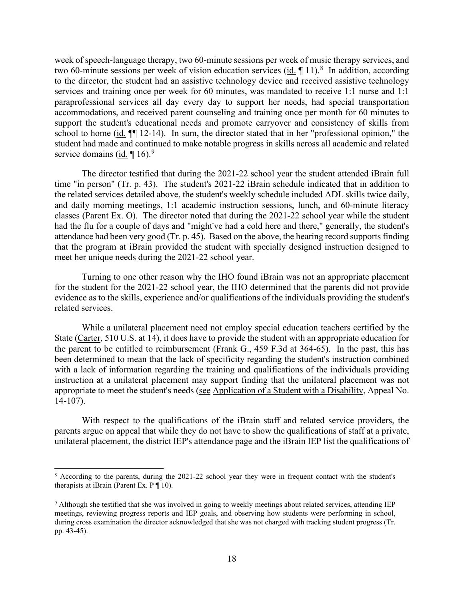two 60-minute sessions per week of vision education services  $(id, \P 11)^8$  In addition, according service domains (id.  $[16]$ .<sup>9</sup> week of speech-language therapy, two 60-minute sessions per week of music therapy services, and to the director, the student had an assistive technology device and received assistive technology services and training once per week for 60 minutes, was mandated to receive 1:1 nurse and 1:1 paraprofessional services all day every day to support her needs, had special transportation accommodations, and received parent counseling and training once per month for 60 minutes to support the student's educational needs and promote carryover and consistency of skills from school to home (id. ¶¶ 12-14). In sum, the director stated that in her "professional opinion," the student had made and continued to make notable progress in skills across all academic and related

 the related services detailed above, the student's weekly schedule included ADL skills twice daily, and daily morning meetings, 1:1 academic instruction sessions, lunch, and 60-minute literacy classes (Parent Ex. O). The director noted that during the 2021-22 school year while the student attendance had been very good (Tr. p. 45). Based on the above, the hearing record supports finding meet her unique needs during the 2021-22 school year. The director testified that during the 2021-22 school year the student attended iBrain full time "in person" (Tr. p. 43). The student's 2021-22 iBrain schedule indicated that in addition to had the flu for a couple of days and "might've had a cold here and there," generally, the student's that the program at iBrain provided the student with specially designed instruction designed to

 for the student for the 2021-22 school year, the IHO determined that the parents did not provide Turning to one other reason why the IHO found iBrain was not an appropriate placement evidence as to the skills, experience and/or qualifications of the individuals providing the student's related services.

While a unilateral placement need not employ special education teachers certified by the State (Carter, 510 U.S. at 14), it does have to provide the student with an appropriate education for the parent to be entitled to reimbursement (Frank G., 459 F.3d at 364-65). In the past, this has been determined to mean that the lack of specificity regarding the student's instruction combined with a lack of information regarding the training and qualifications of the individuals providing instruction at a unilateral placement may support finding that the unilateral placement was not appropriate to meet the student's needs (see Application of a Student with a Disability, Appeal No. 14-107).

 parents argue on appeal that while they do not have to show the qualifications of staff at a private, unilateral placement, the district IEP's attendance page and the iBrain IEP list the qualifications of With respect to the qualifications of the iBrain staff and related service providers, the

<span id="page-17-0"></span><sup>&</sup>lt;sup>8</sup> According to the parents, during the 2021-22 school year they were in frequent contact with the student's therapists at iBrain (Parent Ex.  $P \P 10$ ).

<span id="page-17-1"></span> meetings, reviewing progress reports and IEP goals, and observing how students were performing in school, 9 Although she testified that she was involved in going to weekly meetings about related services, attending IEP during cross examination the director acknowledged that she was not charged with tracking student progress (Tr. pp. 43-45).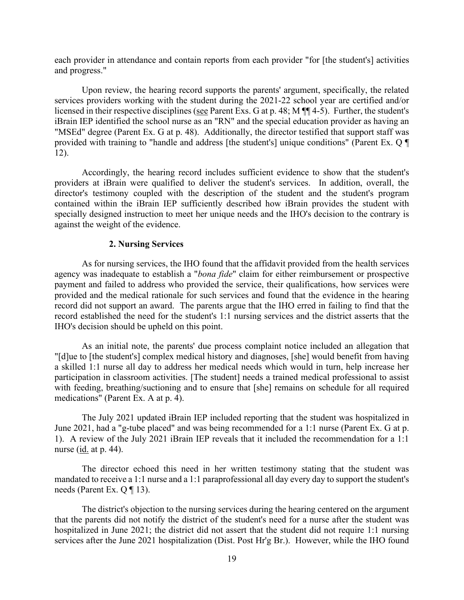each provider in attendance and contain reports from each provider "for [the student's] activities and progress."

 Upon review, the hearing record supports the parents' argument, specifically, the related licensed in their respective disciplines (see Parent Exs. G at p. 48; M  $\P$  $\P$ 4-5). Further, the student's services providers working with the student during the 2021-22 school year are certified and/or iBrain IEP identified the school nurse as an "RN" and the special education provider as having an "MSEd" degree (Parent Ex. G at p. 48). Additionally, the director testified that support staff was provided with training to "handle and address [the student's] unique conditions" (Parent Ex. Q ¶ 12).

 specially designed instruction to meet her unique needs and the IHO's decision to the contrary is against the weight of the evidence. Accordingly, the hearing record includes sufficient evidence to show that the student's providers at iBrain were qualified to deliver the student's services. In addition, overall, the director's testimony coupled with the description of the student and the student's program contained within the iBrain IEP sufficiently described how iBrain provides the student with

#### **2. Nursing Services**

 record did not support an award. The parents argue that the IHO erred in failing to find that the record established the need for the student's 1:1 nursing services and the district asserts that the As for nursing services, the IHO found that the affidavit provided from the health services agency was inadequate to establish a "*bona fide*" claim for either reimbursement or prospective payment and failed to address who provided the service, their qualifications, how services were provided and the medical rationale for such services and found that the evidence in the hearing IHO's decision should be upheld on this point.

As an initial note, the parents' due process complaint notice included an allegation that "[d]ue to [the student's] complex medical history and diagnoses, [she] would benefit from having a skilled 1:1 nurse all day to address her medical needs which would in turn, help increase her participation in classroom activities. [The student] needs a trained medical professional to assist with feeding, breathing/suctioning and to ensure that [she] remains on schedule for all required medications" (Parent Ex. A at p. 4).

 June 2021, had a "g-tube placed" and was being recommended for a 1:1 nurse (Parent Ex. G at p. nurse (<u>id.</u> at p. 44). The July 2021 updated iBrain IEP included reporting that the student was hospitalized in 1). A review of the July 2021 iBrain IEP reveals that it included the recommendation for a 1:1

 needs (Parent Ex. Q ¶ 13). The director echoed this need in her written testimony stating that the student was mandated to receive a 1:1 nurse and a 1:1 paraprofessional all day every day to support the student's

The district's objection to the nursing services during the hearing centered on the argument that the parents did not notify the district of the student's need for a nurse after the student was hospitalized in June 2021; the district did not assert that the student did not require 1:1 nursing services after the June 2021 hospitalization (Dist. Post Hr'g Br.). However, while the IHO found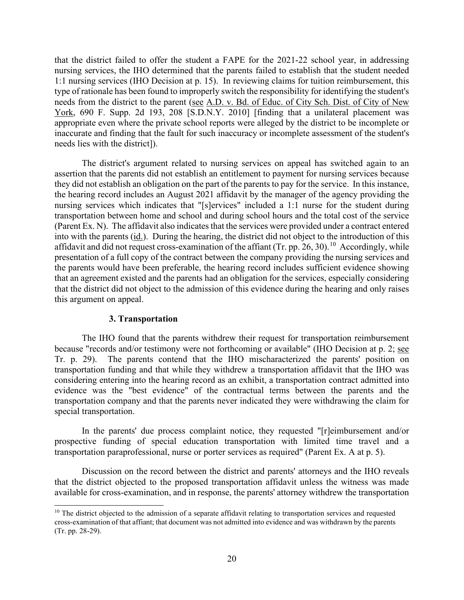needs from the district to the parent (see A.D. v. Bd. of Educ. of City Sch. Dist. of City of New appropriate even where the private school reports were alleged by the district to be incomplete or that the district failed to offer the student a FAPE for the 2021-22 school year, in addressing nursing services, the IHO determined that the parents failed to establish that the student needed 1:1 nursing services (IHO Decision at p. 15). In reviewing claims for tuition reimbursement, this type of rationale has been found to improperly switch the responsibility for identifying the student's York, 690 F. Supp. 2d 193, 208 [S.D.N.Y. 2010] [finding that a unilateral placement was inaccurate and finding that the fault for such inaccuracy or incomplete assessment of the student's needs lies with the district]).

 The district's argument related to nursing services on appeal has switched again to an (Parent Ex. N). The affidavit also indicates that the services were provided under a contract entered affidavit and did not request cross-examination of the affiant (Tr. pp. 26, 30).<sup>10</sup> Accordingly, while assertion that the parents did not establish an entitlement to payment for nursing services because they did not establish an obligation on the part of the parents to pay for the service. In this instance, the hearing record includes an August 2021 affidavit by the manager of the agency providing the nursing services which indicates that "[s]ervices" included a 1:1 nurse for the student during transportation between home and school and during school hours and the total cost of the service into with the parents (id.). During the hearing, the district did not object to the introduction of this presentation of a full copy of the contract between the company providing the nursing services and the parents would have been preferable, the hearing record includes sufficient evidence showing that an agreement existed and the parents had an obligation for the services, especially considering that the district did not object to the admission of this evidence during the hearing and only raises this argument on appeal.

## **3. Transportation**

 Tr. p. 29). The parents contend that the IHO mischaracterized the parents' position on transportation company and that the parents never indicated they were withdrawing the claim for The IHO found that the parents withdrew their request for transportation reimbursement because "records and/or testimony were not forthcoming or available" (IHO Decision at p. 2; see transportation funding and that while they withdrew a transportation affidavit that the IHO was considering entering into the hearing record as an exhibit, a transportation contract admitted into evidence was the "best evidence" of the contractual terms between the parents and the special transportation.

In the parents' due process complaint notice, they requested "[r]eimbursement and/or prospective funding of special education transportation with limited time travel and a transportation paraprofessional, nurse or porter services as required" (Parent Ex. A at p. 5).

 that the district objected to the proposed transportation affidavit unless the witness was made available for cross-examination, and in response, the parents' attorney withdrew the transportation Discussion on the record between the district and parents' attorneys and the IHO reveals

<span id="page-19-0"></span> cross-examination of that affiant; that document was not admitted into evidence and was withdrawn by the parents  $10$  The district objected to the admission of a separate affidavit relating to transportation services and requested (Tr. pp. 28-29).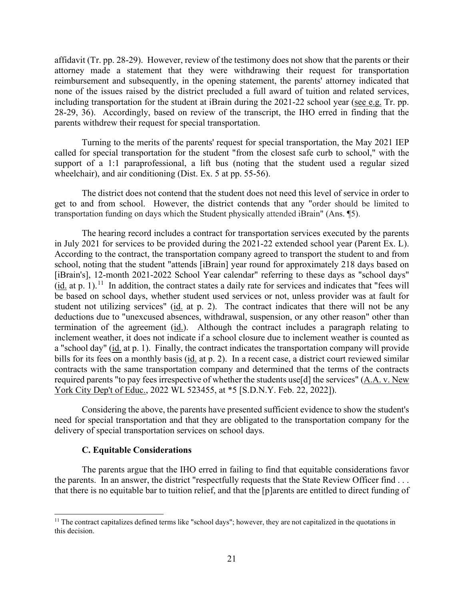affidavit (Tr. pp. 28-29). However, review of the testimony does not show that the parents or their attorney made a statement that they were withdrawing their request for transportation including transportation for the student at iBrain during the 2021-22 school year (see e.g. Tr. pp. 28-29, 36). Accordingly, based on review of the transcript, the IHO erred in finding that the reimbursement and subsequently, in the opening statement, the parents' attorney indicated that none of the issues raised by the district precluded a full award of tuition and related services, parents withdrew their request for special transportation.

Turning to the merits of the parents' request for special transportation, the May 2021 IEP called for special transportation for the student "from the closest safe curb to school," with the support of a 1:1 paraprofessional, a lift bus (noting that the student used a regular sized wheelchair), and air conditioning (Dist. Ex. 5 at pp. 55-56).

 get to and from school. However, the district contends that any "order should be limited to The district does not contend that the student does not need this level of service in order to transportation funding on days which the Student physically attended iBrain" (Ans. ¶5).

 in July 2021 for services to be provided during the 2021-22 extended school year (Parent Ex. L).  $(i_d$  at p. 1).<sup>[11](#page-20-0)</sup> In addition, the contract states a daily rate for services and indicates that "fees will student not utilizing services" ( $id$  at p. 2). The contract indicates that there will not be any termination of the agreement  $(id)$ . Although the contract includes a paragraph relating to bills for its fees on a monthly basis (id. at p. 2). In a recent case, a district court reviewed similar The hearing record includes a contract for transportation services executed by the parents According to the contract, the transportation company agreed to transport the student to and from school, noting that the student "attends [iBrain] year round for approximately 218 days based on [iBrain's], 12-month 2021-2022 School Year calendar" referring to these days as "school days" be based on school days, whether student used services or not, unless provider was at fault for deductions due to "unexcused absences, withdrawal, suspension, or any other reason" other than inclement weather, it does not indicate if a school closure due to inclement weather is counted as a "school day" (id. at p. 1). Finally, the contract indicates the transportation company will provide contracts with the same transportation company and determined that the terms of the contracts required parents "to pay fees irrespective of whether the students use[d] the services" (A.A. v. New York City Dep't of Educ., 2022 WL 523455, at \*5 [S.D.N.Y. Feb. 22, 2022]).

Considering the above, the parents have presented sufficient evidence to show the student's need for special transportation and that they are obligated to the transportation company for the delivery of special transportation services on school days.

## **C. Equitable Considerations**

 the parents. In an answer, the district "respectfully requests that the State Review Officer find . . . The parents argue that the IHO erred in failing to find that equitable considerations favor that there is no equitable bar to tuition relief, and that the [p]arents are entitled to direct funding of

<span id="page-20-0"></span> $11$  The contract capitalizes defined terms like "school days"; however, they are not capitalized in the quotations in this decision.